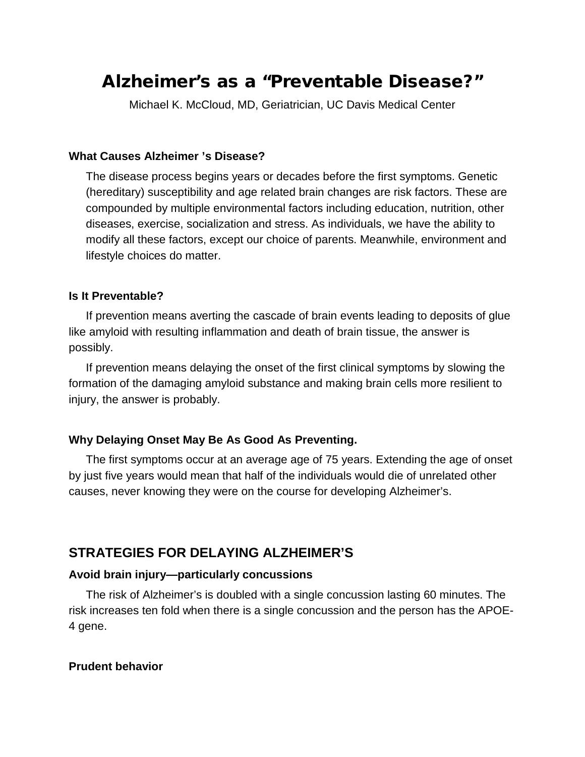# Alzheimer's as a "Preventable Disease?"

Michael K. McCloud, MD, Geriatrician, UC Davis Medical Center

#### **What Causes Alzheimer 's Disease?**

The disease process begins years or decades before the first symptoms. Genetic (hereditary) susceptibility and age related brain changes are risk factors. These are compounded by multiple environmental factors including education, nutrition, other diseases, exercise, socialization and stress. As individuals, we have the ability to modify all these factors, except our choice of parents. Meanwhile, environment and lifestyle choices do matter.

#### **Is It Preventable?**

If prevention means averting the cascade of brain events leading to deposits of glue like amyloid with resulting inflammation and death of brain tissue, the answer is possibly.

If prevention means delaying the onset of the first clinical symptoms by slowing the formation of the damaging amyloid substance and making brain cells more resilient to injury, the answer is probably.

#### **Why Delaying Onset May Be As Good As Preventing.**

The first symptoms occur at an average age of 75 years. Extending the age of onset by just five years would mean that half of the individuals would die of unrelated other causes, never knowing they were on the course for developing Alzheimer's.

## **STRATEGIES FOR DELAYING ALZHEIMER'S**

#### **Avoid brain injury—particularly concussions**

The risk of Alzheimer's is doubled with a single concussion lasting 60 minutes. The risk increases ten fold when there is a single concussion and the person has the APOE-4 gene.

#### **Prudent behavior**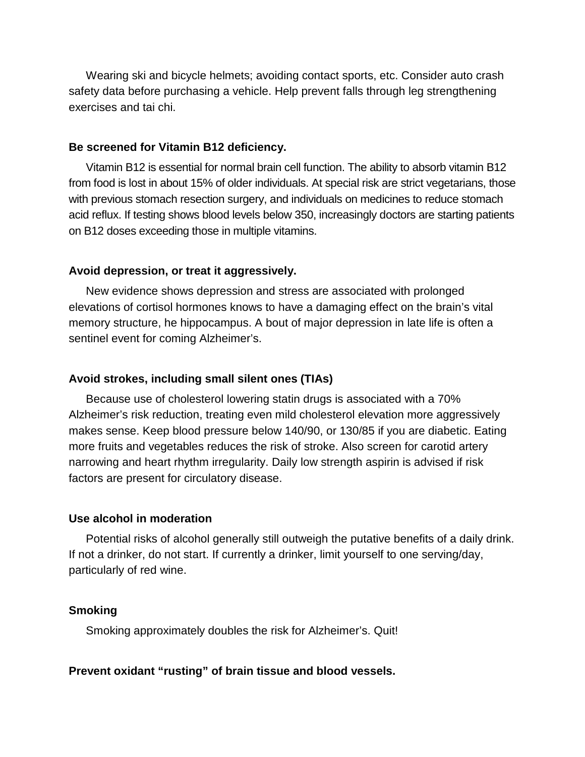Wearing ski and bicycle helmets; avoiding contact sports, etc. Consider auto crash safety data before purchasing a vehicle. Help prevent falls through leg strengthening exercises and tai chi.

#### **Be screened for Vitamin B12 deficiency.**

Vitamin B12 is essential for normal brain cell function. The ability to absorb vitamin B12 from food is lost in about 15% of older individuals. At special risk are strict vegetarians, those with previous stomach resection surgery, and individuals on medicines to reduce stomach acid reflux. If testing shows blood levels below 350, increasingly doctors are starting patients on B12 doses exceeding those in multiple vitamins.

#### **Avoid depression, or treat it aggressively.**

New evidence shows depression and stress are associated with prolonged elevations of cortisol hormones knows to have a damaging effect on the brain's vital memory structure, he hippocampus. A bout of major depression in late life is often a sentinel event for coming Alzheimer's.

#### **Avoid strokes, including small silent ones (TIAs)**

Because use of cholesterol lowering statin drugs is associated with a 70% Alzheimer's risk reduction, treating even mild cholesterol elevation more aggressively makes sense. Keep blood pressure below 140/90, or 130/85 if you are diabetic. Eating more fruits and vegetables reduces the risk of stroke. Also screen for carotid artery narrowing and heart rhythm irregularity. Daily low strength aspirin is advised if risk factors are present for circulatory disease.

#### **Use alcohol in moderation**

Potential risks of alcohol generally still outweigh the putative benefits of a daily drink. If not a drinker, do not start. If currently a drinker, limit yourself to one serving/day, particularly of red wine.

#### **Smoking**

Smoking approximately doubles the risk for Alzheimer's. Quit!

#### **Prevent oxidant "rusting" of brain tissue and blood vessels.**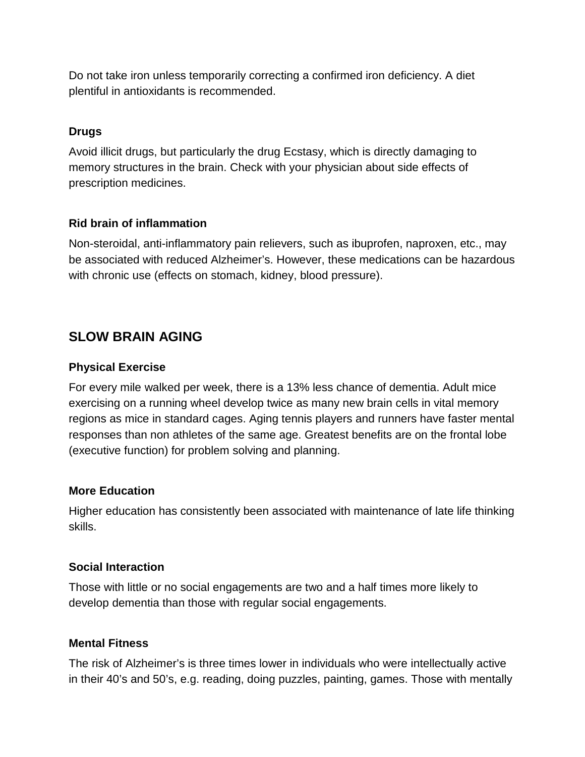Do not take iron unless temporarily correcting a confirmed iron deficiency. A diet plentiful in antioxidants is recommended.

### **Drugs**

Avoid illicit drugs, but particularly the drug Ecstasy, which is directly damaging to memory structures in the brain. Check with your physician about side effects of prescription medicines.

### **Rid brain of inflammation**

Non-steroidal, anti-inflammatory pain relievers, such as ibuprofen, naproxen, etc., may be associated with reduced Alzheimer's. However, these medications can be hazardous with chronic use (effects on stomach, kidney, blood pressure).

# **SLOW BRAIN AGING**

### **Physical Exercise**

For every mile walked per week, there is a 13% less chance of dementia. Adult mice exercising on a running wheel develop twice as many new brain cells in vital memory regions as mice in standard cages. Aging tennis players and runners have faster mental responses than non athletes of the same age. Greatest benefits are on the frontal lobe (executive function) for problem solving and planning.

### **More Education**

Higher education has consistently been associated with maintenance of late life thinking skills.

### **Social Interaction**

Those with little or no social engagements are two and a half times more likely to develop dementia than those with regular social engagements.

### **Mental Fitness**

The risk of Alzheimer's is three times lower in individuals who were intellectually active in their 40's and 50's, e.g. reading, doing puzzles, painting, games. Those with mentally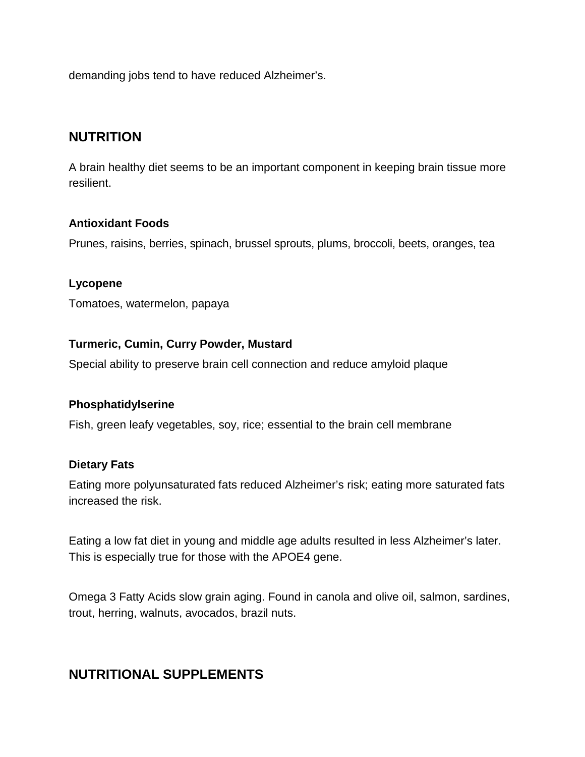demanding jobs tend to have reduced Alzheimer's.

# **NUTRITION**

A brain healthy diet seems to be an important component in keeping brain tissue more resilient.

### **Antioxidant Foods**

Prunes, raisins, berries, spinach, brussel sprouts, plums, broccoli, beets, oranges, tea

### **Lycopene**

Tomatoes, watermelon, papaya

### **Turmeric, Cumin, Curry Powder, Mustard**

Special ability to preserve brain cell connection and reduce amyloid plaque

### **Phosphatidylserine**

Fish, green leafy vegetables, soy, rice; essential to the brain cell membrane

### **Dietary Fats**

Eating more polyunsaturated fats reduced Alzheimer's risk; eating more saturated fats increased the risk.

Eating a low fat diet in young and middle age adults resulted in less Alzheimer's later. This is especially true for those with the APOE4 gene.

Omega 3 Fatty Acids slow grain aging. Found in canola and olive oil, salmon, sardines, trout, herring, walnuts, avocados, brazil nuts.

# **NUTRITIONAL SUPPLEMENTS**